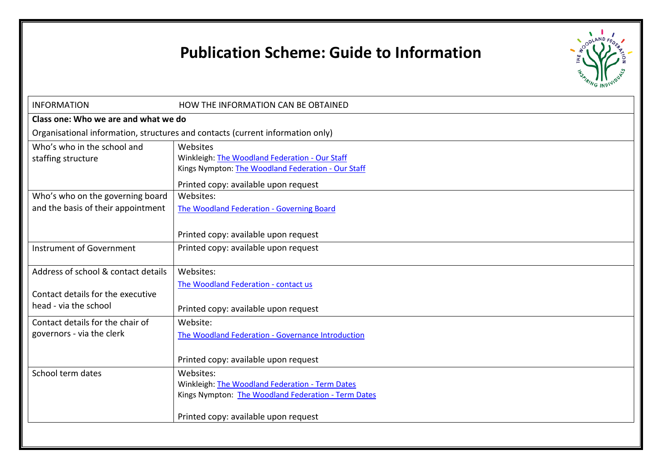# **Publication Scheme: Guide to Information**



| <b>INFORMATION</b>                                                                                | HOW THE INFORMATION CAN BE OBTAINED                                                                                                                         |  |  |  |
|---------------------------------------------------------------------------------------------------|-------------------------------------------------------------------------------------------------------------------------------------------------------------|--|--|--|
| Class one: Who we are and what we do                                                              |                                                                                                                                                             |  |  |  |
|                                                                                                   | Organisational information, structures and contacts (current information only)                                                                              |  |  |  |
| Who's who in the school and<br>staffing structure                                                 | Websites<br>Winkleigh: The Woodland Federation - Our Staff<br>Kings Nympton: The Woodland Federation - Our Staff<br>Printed copy: available upon request    |  |  |  |
| Who's who on the governing board<br>and the basis of their appointment                            | Websites:<br>The Woodland Federation - Governing Board<br>Printed copy: available upon request                                                              |  |  |  |
| Instrument of Government                                                                          | Printed copy: available upon request                                                                                                                        |  |  |  |
| Address of school & contact details<br>Contact details for the executive<br>head - via the school | Websites:<br>The Woodland Federation - contact us<br>Printed copy: available upon request                                                                   |  |  |  |
| Contact details for the chair of<br>governors - via the clerk                                     | Website:<br>The Woodland Federation - Governance Introduction<br>Printed copy: available upon request                                                       |  |  |  |
| School term dates                                                                                 | Websites:<br>Winkleigh: The Woodland Federation - Term Dates<br>Kings Nympton: The Woodland Federation - Term Dates<br>Printed copy: available upon request |  |  |  |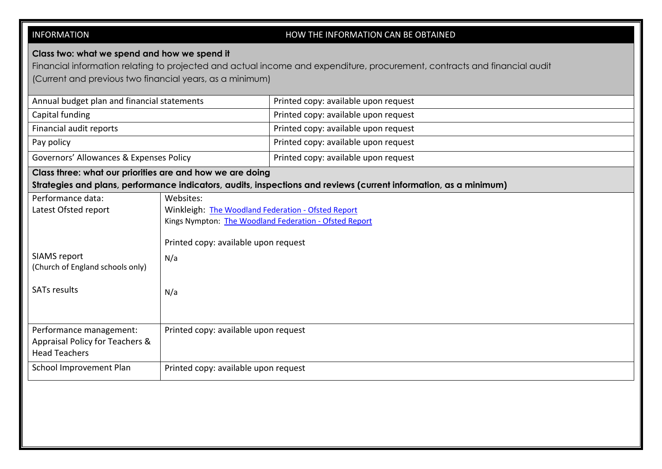| <b>INFORMATION</b>                                                                                                                                                             |                                                                                                                                                                                 | HOW THE INFORMATION CAN BE OBTAINED                                                                                       |  |
|--------------------------------------------------------------------------------------------------------------------------------------------------------------------------------|---------------------------------------------------------------------------------------------------------------------------------------------------------------------------------|---------------------------------------------------------------------------------------------------------------------------|--|
| Class two: what we spend and how we spend it<br>(Current and previous two financial years, as a minimum)                                                                       |                                                                                                                                                                                 | Financial information relating to projected and actual income and expenditure, procurement, contracts and financial audit |  |
| Annual budget plan and financial statements                                                                                                                                    |                                                                                                                                                                                 | Printed copy: available upon request                                                                                      |  |
| Capital funding                                                                                                                                                                |                                                                                                                                                                                 | Printed copy: available upon request                                                                                      |  |
| Financial audit reports                                                                                                                                                        |                                                                                                                                                                                 | Printed copy: available upon request                                                                                      |  |
| Pay policy                                                                                                                                                                     |                                                                                                                                                                                 | Printed copy: available upon request                                                                                      |  |
| Governors' Allowances & Expenses Policy                                                                                                                                        |                                                                                                                                                                                 | Printed copy: available upon request                                                                                      |  |
| Class three: what our priorities are and how we are doing<br>Strategies and plans, performance indicators, audits, inspections and reviews (current information, as a minimum) |                                                                                                                                                                                 |                                                                                                                           |  |
| Performance data:<br>Latest Ofsted report<br><b>SIAMS</b> report<br>(Church of England schools only)<br><b>SATs results</b>                                                    | Websites:<br>Winkleigh: The Woodland Federation - Ofsted Report<br>Kings Nympton: The Woodland Federation - Ofsted Report<br>Printed copy: available upon request<br>N/a<br>N/a |                                                                                                                           |  |
| Performance management:<br>Appraisal Policy for Teachers &<br><b>Head Teachers</b>                                                                                             | Printed copy: available upon request                                                                                                                                            |                                                                                                                           |  |
| School Improvement Plan                                                                                                                                                        | Printed copy: available upon request                                                                                                                                            |                                                                                                                           |  |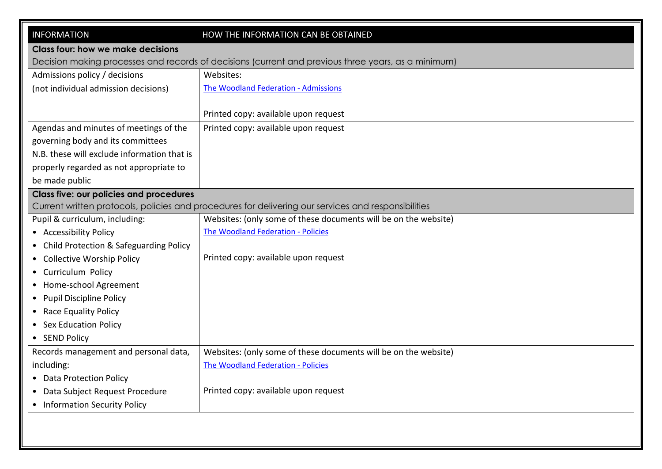| <b>INFORMATION</b>                                                                                  | HOW THE INFORMATION CAN BE OBTAINED                                                                 |  |  |
|-----------------------------------------------------------------------------------------------------|-----------------------------------------------------------------------------------------------------|--|--|
| <b>Class four: how we make decisions</b>                                                            |                                                                                                     |  |  |
| Decision making processes and records of decisions (current and previous three years, as a minimum) |                                                                                                     |  |  |
| Admissions policy / decisions                                                                       | Websites:                                                                                           |  |  |
| (not individual admission decisions)                                                                | The Woodland Federation - Admissions                                                                |  |  |
|                                                                                                     |                                                                                                     |  |  |
|                                                                                                     | Printed copy: available upon request                                                                |  |  |
| Agendas and minutes of meetings of the                                                              | Printed copy: available upon request                                                                |  |  |
| governing body and its committees                                                                   |                                                                                                     |  |  |
| N.B. these will exclude information that is                                                         |                                                                                                     |  |  |
| properly regarded as not appropriate to                                                             |                                                                                                     |  |  |
| be made public                                                                                      |                                                                                                     |  |  |
| <b>Class five: our policies and procedures</b>                                                      |                                                                                                     |  |  |
|                                                                                                     | Current written protocols, policies and procedures for delivering our services and responsibilities |  |  |
| Pupil & curriculum, including:                                                                      | Websites: (only some of these documents will be on the website)                                     |  |  |
| • Accessibility Policy                                                                              | The Woodland Federation - Policies                                                                  |  |  |
| Child Protection & Safeguarding Policy                                                              |                                                                                                     |  |  |
| <b>Collective Worship Policy</b>                                                                    | Printed copy: available upon request                                                                |  |  |
| • Curriculum Policy                                                                                 |                                                                                                     |  |  |
| • Home-school Agreement                                                                             |                                                                                                     |  |  |
| • Pupil Discipline Policy                                                                           |                                                                                                     |  |  |
| • Race Equality Policy                                                                              |                                                                                                     |  |  |
| • Sex Education Policy                                                                              |                                                                                                     |  |  |
| • SEND Policy                                                                                       |                                                                                                     |  |  |
| Records management and personal data,                                                               | Websites: (only some of these documents will be on the website)                                     |  |  |
| including:                                                                                          | The Woodland Federation - Policies                                                                  |  |  |
| • Data Protection Policy                                                                            |                                                                                                     |  |  |
| Data Subject Request Procedure                                                                      | Printed copy: available upon request                                                                |  |  |
| <b>Information Security Policy</b>                                                                  |                                                                                                     |  |  |
|                                                                                                     |                                                                                                     |  |  |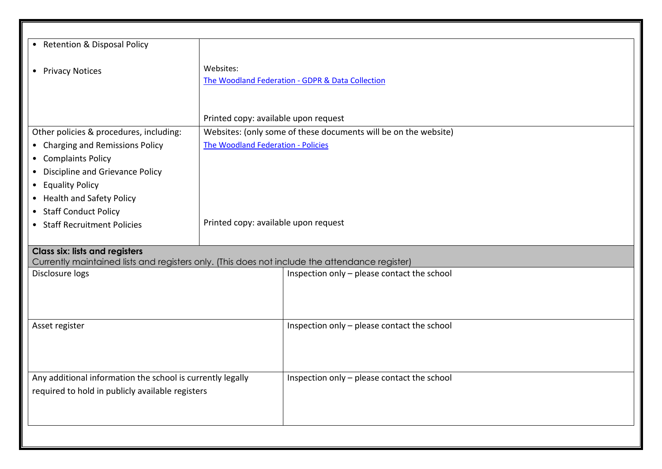| • Retention & Disposal Policy                                                                  |                                                                                                         |                                                  |  |
|------------------------------------------------------------------------------------------------|---------------------------------------------------------------------------------------------------------|--------------------------------------------------|--|
| • Privacy Notices                                                                              | Websites:                                                                                               |                                                  |  |
|                                                                                                |                                                                                                         | The Woodland Federation - GDPR & Data Collection |  |
|                                                                                                |                                                                                                         |                                                  |  |
| Other policies & procedures, including:                                                        | Printed copy: available upon request<br>Websites: (only some of these documents will be on the website) |                                                  |  |
| • Charging and Remissions Policy                                                               | The Woodland Federation - Policies                                                                      |                                                  |  |
| • Complaints Policy                                                                            |                                                                                                         |                                                  |  |
| Discipline and Grievance Policy<br>$\bullet$                                                   |                                                                                                         |                                                  |  |
| <b>Equality Policy</b><br>$\bullet$                                                            |                                                                                                         |                                                  |  |
| • Health and Safety Policy                                                                     |                                                                                                         |                                                  |  |
| • Staff Conduct Policy                                                                         |                                                                                                         |                                                  |  |
| • Staff Recruitment Policies                                                                   | Printed copy: available upon request                                                                    |                                                  |  |
| <b>Class six: lists and registers</b>                                                          |                                                                                                         |                                                  |  |
| Currently maintained lists and registers only. (This does not include the attendance register) |                                                                                                         |                                                  |  |
| Disclosure logs                                                                                |                                                                                                         | Inspection only - please contact the school      |  |
|                                                                                                |                                                                                                         |                                                  |  |
|                                                                                                |                                                                                                         |                                                  |  |
| Asset register                                                                                 |                                                                                                         | Inspection only - please contact the school      |  |
|                                                                                                |                                                                                                         |                                                  |  |
| Any additional information the school is currently legally                                     |                                                                                                         | Inspection only - please contact the school      |  |
| required to hold in publicly available registers                                               |                                                                                                         |                                                  |  |
|                                                                                                |                                                                                                         |                                                  |  |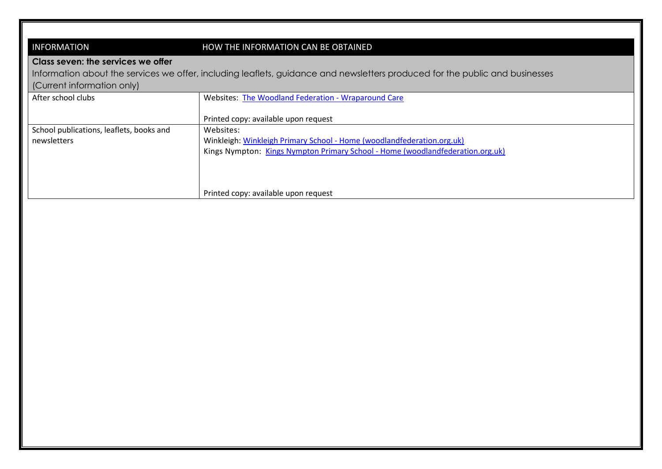### INFORMATION HOW THE INFORMATION CAN BE OBTAINED

#### **Class seven: the services we offer**

Information about the services we offer, including leaflets, guidance and newsletters produced for the public and businesses

(Current information only)

| After school clubs                       | Websites: The Woodland Federation - Wraparound Care                            |
|------------------------------------------|--------------------------------------------------------------------------------|
|                                          |                                                                                |
|                                          | Printed copy: available upon request                                           |
| School publications, leaflets, books and | Websites:                                                                      |
| newsletters                              | Winkleigh: Winkleigh Primary School - Home (woodlandfederation.org.uk)         |
|                                          | Kings Nympton: Kings Nympton Primary School - Home (woodlandfederation.org.uk) |
|                                          |                                                                                |
|                                          |                                                                                |
|                                          |                                                                                |
|                                          | Printed copy: available upon request                                           |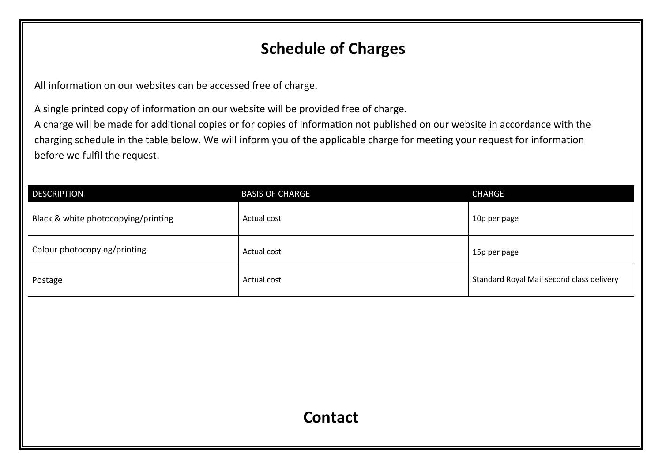## **Schedule of Charges**

All information on our websites can be accessed free of charge.

A single printed copy of information on our website will be provided free of charge.

A charge will be made for additional copies or for copies of information not published on our website in accordance with the charging schedule in the table below. We will inform you of the applicable charge for meeting your request for information before we fulfil the request.

| <b>DESCRIPTION</b>                  | <b>BASIS OF CHARGE</b> | <b>CHARGE</b>                             |
|-------------------------------------|------------------------|-------------------------------------------|
| Black & white photocopying/printing | Actual cost            | 10p per page                              |
| Colour photocopying/printing        | Actual cost            | 15p per page                              |
| Postage                             | Actual cost            | Standard Royal Mail second class delivery |

### **Contact**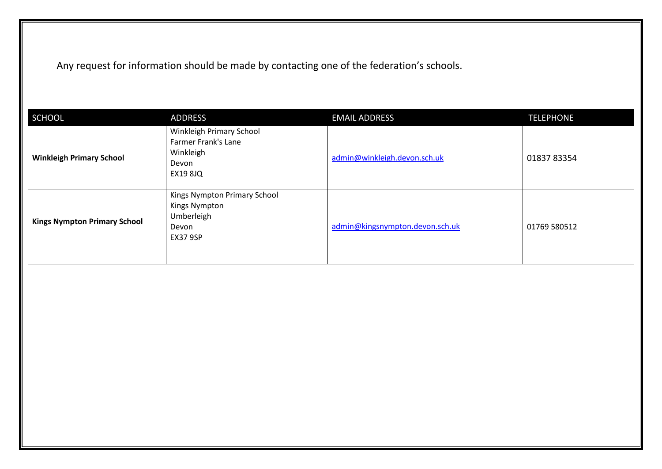Any request for information should be made by contacting one of the federation's schools.

| <b>SCHOOL</b>                       | <b>ADDRESS</b>                                                                           | <b>EMAIL ADDRESS</b>            | <b>TELEPHONE</b> |
|-------------------------------------|------------------------------------------------------------------------------------------|---------------------------------|------------------|
| <b>Winkleigh Primary School</b>     | Winkleigh Primary School<br>Farmer Frank's Lane<br>Winkleigh<br>Devon<br><b>EX19 8JQ</b> | admin@winkleigh.devon.sch.uk    | 01837 83354      |
| <b>Kings Nympton Primary School</b> | Kings Nympton Primary School<br>Kings Nympton<br>Umberleigh<br>Devon<br><b>EX37 9SP</b>  | admin@kingsnympton.devon.sch.uk | 01769 580512     |